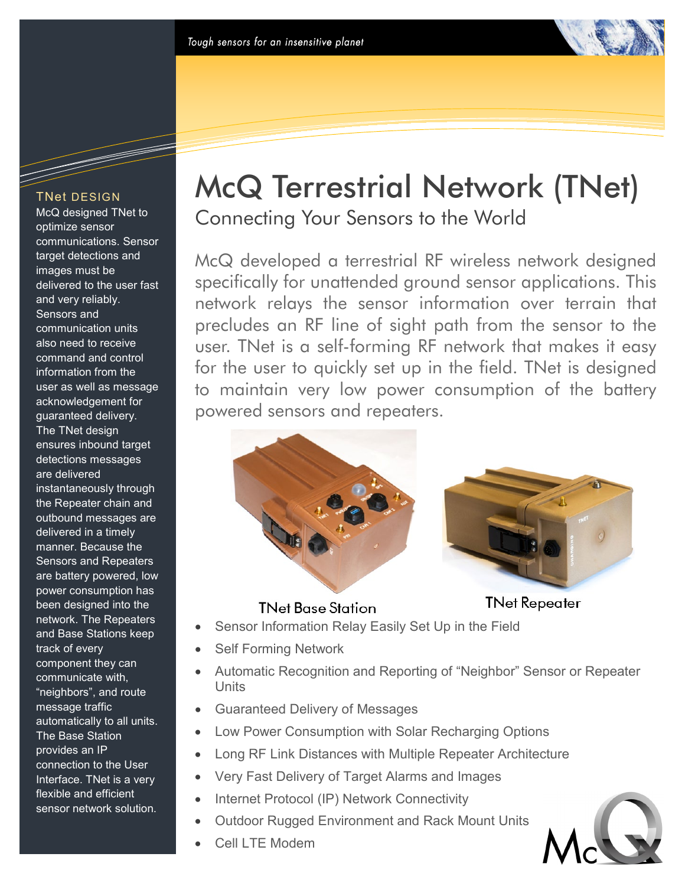### TNet DESIGN

McQ designed TNet to optimize sensor communications. Sensor target detections and images must be delivered to the user fast and very reliably. Sensors and communication units also need to receive command and control information from the user as well as message acknowledgement for guaranteed delivery. The TNet design ensures inbound target detections messages are delivered instantaneously through the Repeater chain and outbound messages are delivered in a timely manner. Because the Sensors and Repeaters are battery powered, low power consumption has been designed into the network. The Repeaters and Base Stations keep track of every component they can communicate with, "neighbors", and route message traffic automatically to all units. The Base Station provides an IP connection to the User Interface. TNet is a very flexible and efficient sensor network solution.

# McQ Terrestrial Network (TNet)

Connecting Your Sensors to the World

McQ developed a terrestrial RF wireless network designed specifically for unattended ground sensor applications. This network relays the sensor information over terrain that precludes an RF line of sight path from the sensor to the user. TNet is a self-forming RF network that makes it easy for the user to quickly set up in the field. TNet is designed to maintain very low power consumption of the battery powered sensors and repeaters.



## **TNet Base Station**

# **TNet Repeater**

- Sensor Information Relay Easily Set Up in the Field
- Self Forming Network
- Automatic Recognition and Reporting of "Neighbor" Sensor or Repeater Units
- Guaranteed Delivery of Messages
- Low Power Consumption with Solar Recharging Options
- Long RF Link Distances with Multiple Repeater Architecture
- Very Fast Delivery of Target Alarms and Images
- Internet Protocol (IP) Network Connectivity
- Outdoor Rugged Environment and Rack Mount Units
- Cell LTE Modem